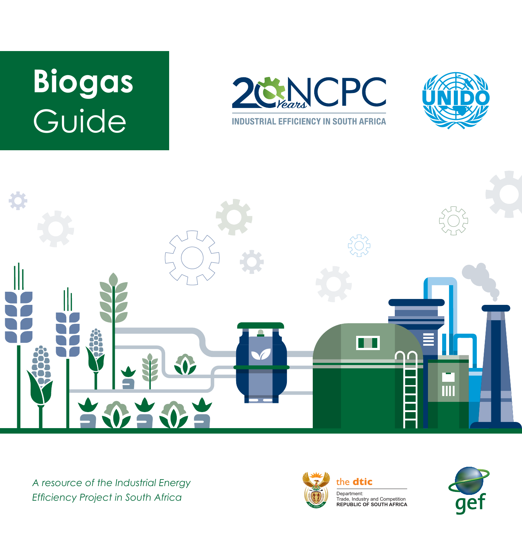# **Biogas** Guide







A resource of the Industrial Energy **the detice** *Efficiency Project in South Africa*



Department: Trade, Industry and Competition **REPUBLIC OF SOUTH AFRICA**

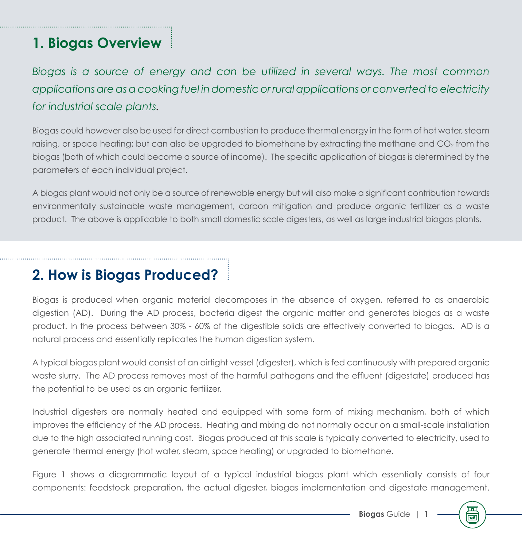#### **1. Biogas Overview**

*Biogas is a source of energy and can be utilized in several ways. The most common applications are as a cooking fuel in domestic or rural applications or converted to electricity for industrial scale plants.*

Biogas could however also be used for direct combustion to produce thermal energy in the form of hot water, steam raising, or space heating; but can also be upgraded to biomethane by extracting the methane and  $CO<sub>2</sub>$  from the biogas (both of which could become a source of income). The specific application of biogas is determined by the parameters of each individual project.

A biogas plant would not only be a source of renewable energy but will also make a significant contribution towards environmentally sustainable waste management, carbon mitigation and produce organic fertilizer as a waste product. The above is applicable to both small domestic scale digesters, as well as large industrial biogas plants.

#### **2. How is Biogas Produced?**

Biogas is produced when organic material decomposes in the absence of oxygen, referred to as anaerobic digestion (AD). During the AD process, bacteria digest the organic matter and generates biogas as a waste product. In the process between 30% - 60% of the digestible solids are effectively converted to biogas. AD is a natural process and essentially replicates the human digestion system.

A typical biogas plant would consist of an airtight vessel (digester), which is fed continuously with prepared organic waste slurry. The AD process removes most of the harmful pathogens and the effluent (digestate) produced has the potential to be used as an organic fertilizer.

Industrial digesters are normally heated and equipped with some form of mixing mechanism, both of which improves the efficiency of the AD process. Heating and mixing do not normally occur on a small-scale installation due to the high associated running cost. Biogas produced at this scale is typically converted to electricity, used to generate thermal energy (hot water, steam, space heating) or upgraded to biomethane.

Figure 1 shows a diagrammatic layout of a typical industrial biogas plant which essentially consists of four components: feedstock preparation, the actual digester, biogas implementation and digestate management.

帀  $\overline{\mathbf{v}}$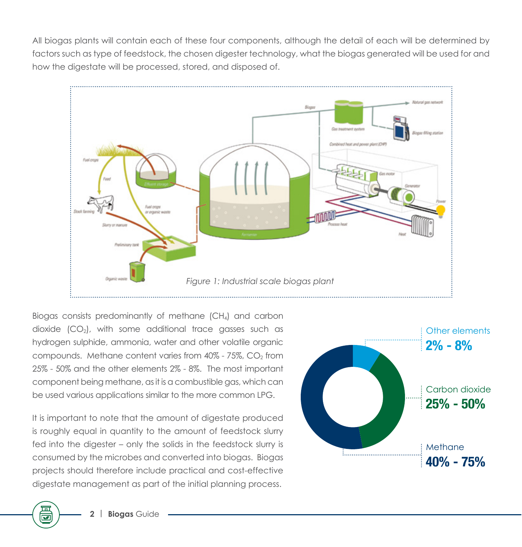All biogas plants will contain each of these four components, although the detail of each will be determined by factors such as type of feedstock, the chosen digester technology, what the biogas generated will be used for and how the digestate will be processed, stored, and disposed of.



Biogas consists predominantly of methane (CH4) and carbon dioxide  $(CO<sub>2</sub>)$ , with some additional trace gasses such as hydrogen sulphide, ammonia, water and other volatile organic compounds. Methane content varies from  $40\%$  -  $75\%$ ,  $CO<sub>2</sub>$  from 25% - 50% and the other elements 2% - 8%. The most important component being methane, as it is a combustible gas, which can be used various applications similar to the more common LPG.

It is important to note that the amount of digestate produced is roughly equal in quantity to the amount of feedstock slurry fed into the digester – only the solids in the feedstock slurry is consumed by the microbes and converted into biogas. Biogas projects should therefore include practical and cost-effective digestate management as part of the initial planning process.



 $\overline{\textbf{v}}$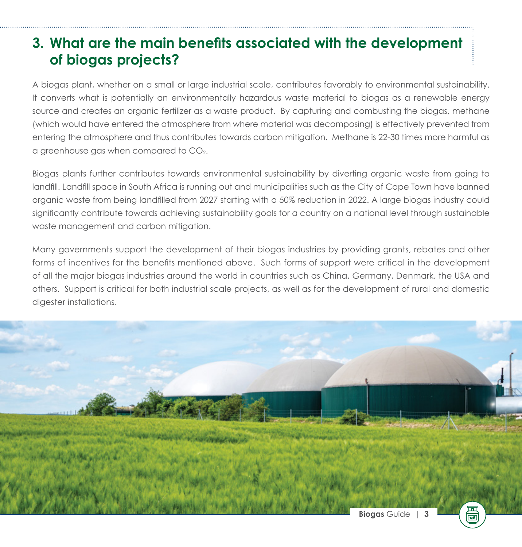#### **3. What are the main benefits associated with the development of biogas projects?**

A biogas plant, whether on a small or large industrial scale, contributes favorably to environmental sustainability. It converts what is potentially an environmentally hazardous waste material to biogas as a renewable energy source and creates an organic fertilizer as a waste product. By capturing and combusting the biogas, methane (which would have entered the atmosphere from where material was decomposing) is effectively prevented from entering the atmosphere and thus contributes towards carbon mitigation. Methane is 22-30 times more harmful as a greenhouse gas when compared to  $CO<sub>2</sub>$ .

Biogas plants further contributes towards environmental sustainability by diverting organic waste from going to landfill. Landfill space in South Africa is running out and municipalities such as the City of Cape Town have banned organic waste from being landfilled from 2027 starting with a 50% reduction in 2022. A large biogas industry could significantly contribute towards achieving sustainability goals for a country on a national level through sustainable waste management and carbon mitigation.

Many governments support the development of their biogas industries by providing grants, rebates and other forms of incentives for the benefits mentioned above. Such forms of support were critical in the development of all the major biogas industries around the world in countries such as China, Germany, Denmark, the USA and others. Support is critical for both industrial scale projects, as well as for the development of rural and domestic digester installations.

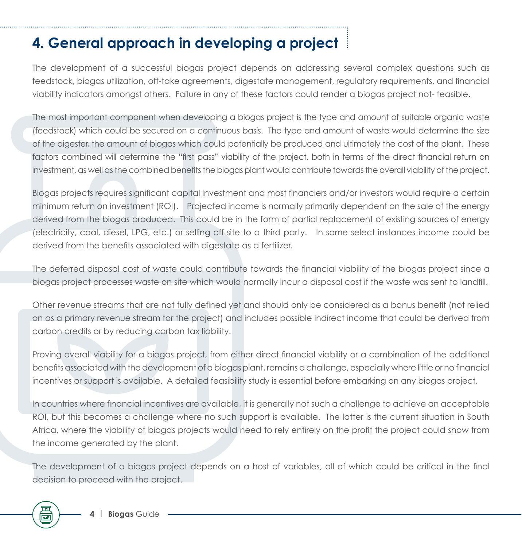### **4. General approach in developing a project**

The development of a successful biogas project depends on addressing several complex questions such as feedstock, biogas utilization, off-take agreements, digestate management, regulatory requirements, and financial viability indicators amongst others. Failure in any of these factors could render a biogas project not- feasible.

The most important component when developing a biogas project is the type and amount of suitable organic waste (feedstock) which could be secured on a continuous basis. The type and amount of waste would determine the size of the digester, the amount of biogas which could potentially be produced and ultimately the cost of the plant. These factors combined will determine the "first pass" viability of the project, both in terms of the direct financial return on investment, as well as the combined benefits the biogas plant would contribute towards the overall viability of the project.

Biogas projects requires significant capital investment and most financiers and/or investors would require a certain minimum return on investment (ROI). Projected income is normally primarily dependent on the sale of the energy derived from the biogas produced. This could be in the form of partial replacement of existing sources of energy (electricity, coal, diesel, LPG, etc.) or selling off-site to a third party. In some select instances income could be derived from the benefits associated with digestate as a fertilizer.

The deferred disposal cost of waste could contribute towards the financial viability of the biogas project since a biogas project processes waste on site which would normally incur a disposal cost if the waste was sent to landfill.

Other revenue streams that are not fully defined yet and should only be considered as a bonus benefit (not relied on as a primary revenue stream for the project) and includes possible indirect income that could be derived from carbon credits or by reducing carbon tax liability.

Proving overall viability for a biogas project, from either direct financial viability or a combination of the additional benefits associated with the development of a biogas plant, remains a challenge, especially where little or no financial incentives or support is available. A detailed feasibility study is essential before embarking on any biogas project.

In countries where financial incentives are available, it is generally not such a challenge to achieve an acceptable ROI, but this becomes a challenge where no such support is available. The latter is the current situation in South Africa, where the viability of biogas projects would need to rely entirely on the profit the project could show from the income generated by the plant.

The development of a biogas project depends on a host of variables, all of which could be critical in the final decision to proceed with the project.

帀  $\overline{\mathbf{v}}$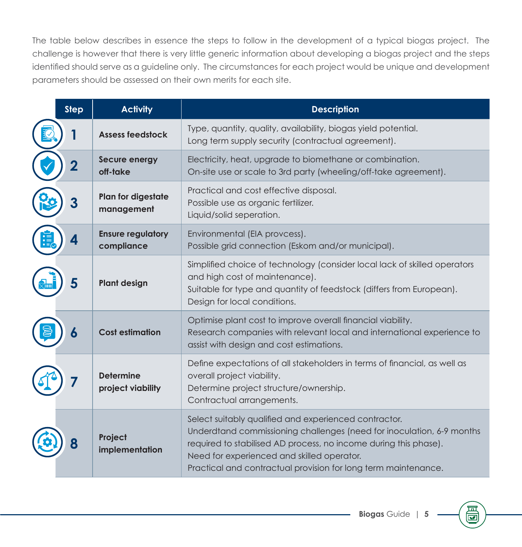The table below describes in essence the steps to follow in the development of a typical biogas project. The challenge is however that there is very little generic information about developing a biogas project and the steps identified should serve as a guideline only. The circumstances for each project would be unique and development parameters should be assessed on their own merits for each site.

| <b>Step</b> | <b>Activity</b>                        | <b>Description</b>                                                                                                                                                                                                                                                                                                 |
|-------------|----------------------------------------|--------------------------------------------------------------------------------------------------------------------------------------------------------------------------------------------------------------------------------------------------------------------------------------------------------------------|
|             | <b>Assess feedstock</b>                | Type, quantity, quality, availability, biogas yield potential.<br>Long term supply security (contractual agreement).                                                                                                                                                                                               |
| 2           | <b>Secure energy</b><br>off-take       | Electricity, heat, upgrade to biomethane or combination.<br>On-site use or scale to 3rd party (wheeling/off-take agreement).                                                                                                                                                                                       |
|             | Plan for digestate<br>management       | Practical and cost effective disposal.<br>Possible use as organic fertilizer.<br>Liquid/solid seperation.                                                                                                                                                                                                          |
|             | <b>Ensure regulatory</b><br>compliance | Environmental (EIA provcess).<br>Possible grid connection (Eskom and/or municipal).                                                                                                                                                                                                                                |
|             | <b>Plant design</b>                    | Simplified choice of technology (consider local lack of skilled operators<br>and high cost of maintenance).<br>Suitable for type and quantity of feedstock (differs from European).<br>Design for local conditions.                                                                                                |
| 6           | <b>Cost estimation</b>                 | Optimise plant cost to improve overall financial viability.<br>Research companies with relevant local and international experience to<br>assist with design and cost estimations.                                                                                                                                  |
|             | <b>Determine</b><br>project viability  | Define expectations of all stakeholders in terms of financial, as well as<br>overall project viability.<br>Determine project structure/ownership.<br>Contractual arrangements.                                                                                                                                     |
|             | Project<br>implementation              | Select suitably qualified and experienced contractor.<br>Underdtand commissioning challenges (need for inoculation, 6-9 months<br>required to stabilised AD process, no income during this phase).<br>Need for experienced and skilled operator.<br>Practical and contractual provision for long term maintenance. |

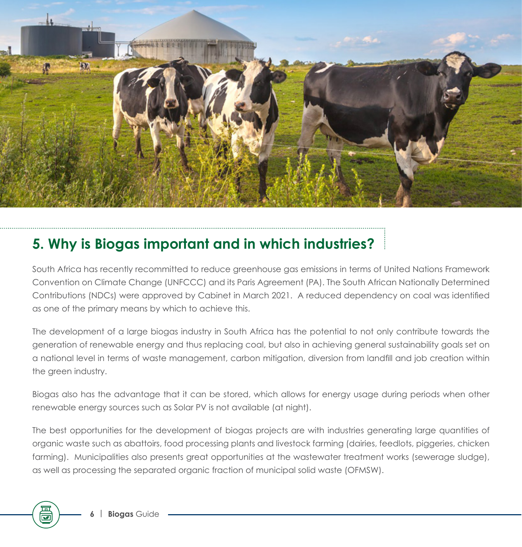

#### **5. Why is Biogas important and in which industries?**

South Africa has recently recommitted to reduce greenhouse gas emissions in terms of United Nations Framework Convention on Climate Change (UNFCCC) and its Paris Agreement (PA). The South African Nationally Determined Contributions (NDCs) were approved by Cabinet in March 2021. A reduced dependency on coal was identified as one of the primary means by which to achieve this.

The development of a large biogas industry in South Africa has the potential to not only contribute towards the generation of renewable energy and thus replacing coal, but also in achieving general sustainability goals set on a national level in terms of waste management, carbon mitigation, diversion from landfill and job creation within the green industry.

Biogas also has the advantage that it can be stored, which allows for energy usage during periods when other renewable energy sources such as Solar PV is not available (at night).

The best opportunities for the development of biogas projects are with industries generating large quantities of organic waste such as abattoirs, food processing plants and livestock farming (dairies, feedlots, piggeries, chicken farming). Municipalities also presents great opportunities at the wastewater treatment works (sewerage sludge), as well as processing the separated organic fraction of municipal solid waste (OFMSW).

 $\overline{\textbf{v}}$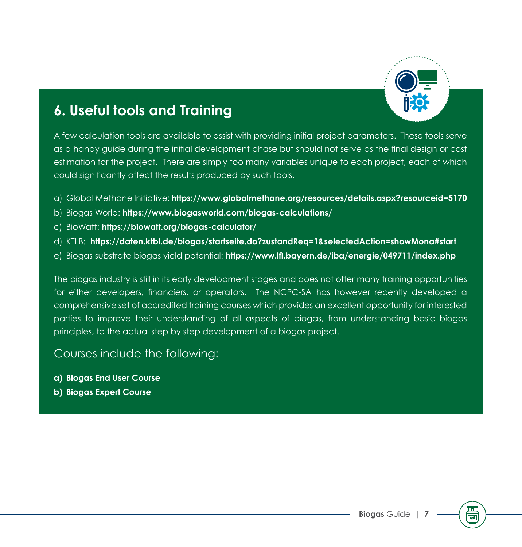

#### **6. Useful tools and Training**

A few calculation tools are available to assist with providing initial project parameters. These tools serve as a handy guide during the initial development phase but should not serve as the final design or cost estimation for the project. There are simply too many variables unique to each project, each of which could significantly affect the results produced by such tools.

- a) Global Methane Initiative: **https://www.globalmethane.org/resources/details.aspx?resourceid=5170**
- b) Biogas World: **https://www.biogasworld.com/biogas-calculations/**
- c) BioWatt: **https://biowatt.org/biogas-calculator/**
- d) KTLB: **https://daten.ktbl.de/biogas/startseite.do?zustandReq=1&selectedAction=showMona#start**
- e) Biogas substrate biogas yield potential: **https://www.lfl.bayern.de/iba/energie/049711/index.php**

The biogas industry is still in its early development stages and does not offer many training opportunities for either developers, financiers, or operators. The NCPC-SA has however recently developed a comprehensive set of accredited training courses which provides an excellent opportunity for interested parties to improve their understanding of all aspects of biogas, from understanding basic biogas principles, to the actual step by step development of a biogas project.

#### Courses include the following:

- **a) Biogas End User Course**
- **b) Biogas Expert Course**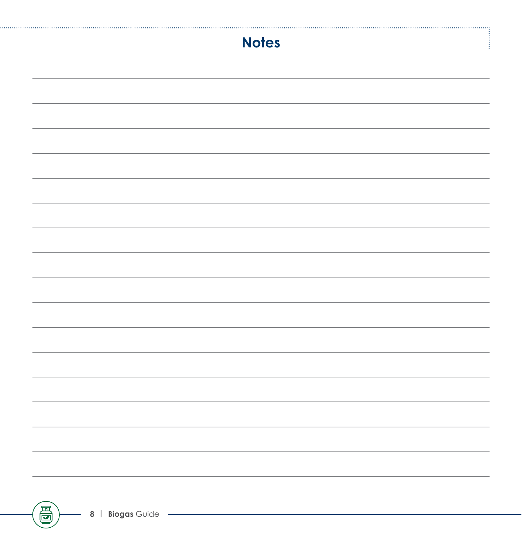|   | <b>Notes</b> |  |
|---|--------------|--|
|   |              |  |
|   |              |  |
|   |              |  |
|   |              |  |
|   |              |  |
|   |              |  |
|   |              |  |
|   |              |  |
|   |              |  |
|   |              |  |
|   |              |  |
|   |              |  |
|   |              |  |
|   |              |  |
|   |              |  |
|   |              |  |
| 高 |              |  |